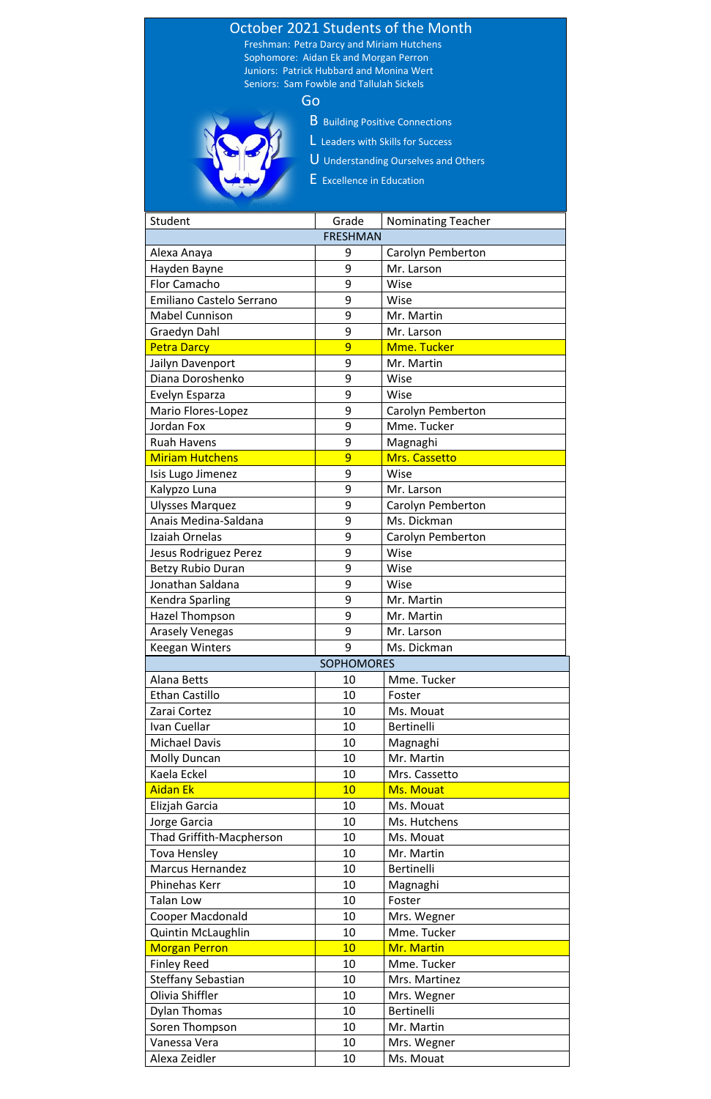

| Student                         | Grade | Nominating Teacher |  |
|---------------------------------|-------|--------------------|--|
| <b>FRESHMAN</b>                 |       |                    |  |
| Alexa Anaya                     | 9     | Carolyn Pemberton  |  |
| Hayden Bayne                    | 9     | Mr. Larson         |  |
| <b>Flor Camacho</b>             | 9     | Wise               |  |
| <b>Emiliano Castelo Serrano</b> | 9     | Wise               |  |
| <b>Mabel Cunnison</b>           | 9     | Mr. Martin         |  |
| Graedyn Dahl                    | 9     | Mr. Larson         |  |
| <b>Petra Darcy</b>              | 9     | <b>Mme. Tucker</b> |  |
| Jailyn Davenport                | 9     | Mr. Martin         |  |
| Diana Doroshenko                | 9     | Wise               |  |
| Evelyn Esparza                  | 9     | Wise               |  |
| Mario Flores-Lopez              | 9     | Carolyn Pemberton  |  |
| Jordan Fox                      | 9     | Mme. Tucker        |  |
| <b>Ruah Havens</b>              | 9     | Magnaghi           |  |
| <b>Miriam Hutchens</b>          | 9     | Mrs. Cassetto      |  |
| Isis Lugo Jimenez               | 9     | Wise               |  |
| Kalypzo Luna                    | 9     | Mr. Larson         |  |
| <b>Ulysses Marquez</b>          | 9     | Carolyn Pemberton  |  |
| Anais Medina-Saldana            | 9     | Ms. Dickman        |  |
| Izaiah Ornelas                  | 9     | Carolyn Pemberton  |  |
| Jesus Rodriguez Perez           | 9     | Wise               |  |
| <b>Betzy Rubio Duran</b>        | 9     | Wise               |  |
| Jonathan Saldana                | 9     | Wise               |  |
| <b>Kendra Sparling</b>          | 9     | Mr. Martin         |  |
| <b>Hazel Thompson</b>           | 9     | Mr. Martin         |  |
| <b>Arasely Venegas</b>          | 9     | Mr. Larson         |  |
| <b>Keegan Winters</b>           | 9     | Ms. Dickman        |  |
| <b>SOPHOMORES</b>               |       |                    |  |
| <b>Alana Betts</b>              | 10    | Mme. Tucker        |  |
| <b>Ethan Castillo</b>           | 10    | Foster             |  |
| Zarai Cortez                    | 10    | Ms. Mouat          |  |
| Ivan Cuellar                    | 10    | <b>Bertinelli</b>  |  |
| <b>Michael Davis</b>            | 10    | Magnaghi           |  |
| <b>Molly Duncan</b>             | 10    | Mr. Martin         |  |
| Kaela Eckel                     | 10    | Mrs. Cassetto      |  |
| <b>Aidan Ek</b>                 | 10    | Ms. Mouat          |  |
| Elizjah Garcia                  | 10    | Ms. Mouat          |  |
| Jorge Garcia                    | 10    | Ms. Hutchens       |  |
| Thad Griffith-Macpherson        | 10    | Ms. Mouat          |  |
| <b>Tova Hensley</b>             | 10    | Mr. Martin         |  |
| <b>Marcus Hernandez</b>         | 10    | <b>Bertinelli</b>  |  |
| Phinehas Kerr                   | 10    | Magnaghi           |  |
| <b>Talan Low</b>                | 10    | Foster             |  |
| <b>Cooper Macdonald</b>         | 10    | Mrs. Wegner        |  |
| <b>Quintin McLaughlin</b>       | 10    | Mme. Tucker        |  |
| <b>Morgan Perron</b>            | 10    | Mr. Martin         |  |
| <b>Finley Reed</b>              | 10    | Mme. Tucker        |  |
| <b>Steffany Sebastian</b>       | 10    | Mrs. Martinez      |  |
| Olivia Shiffler                 | 10    | Mrs. Wegner        |  |
| <b>Dylan Thomas</b>             | 10    | Bertinelli         |  |
| Soren Thompson                  | 10    | Mr. Martin         |  |
| Vanessa Vera                    | 10    | Mrs. Wegner        |  |
| Alexa Zeidler                   | 10    | Ms. Mouat          |  |